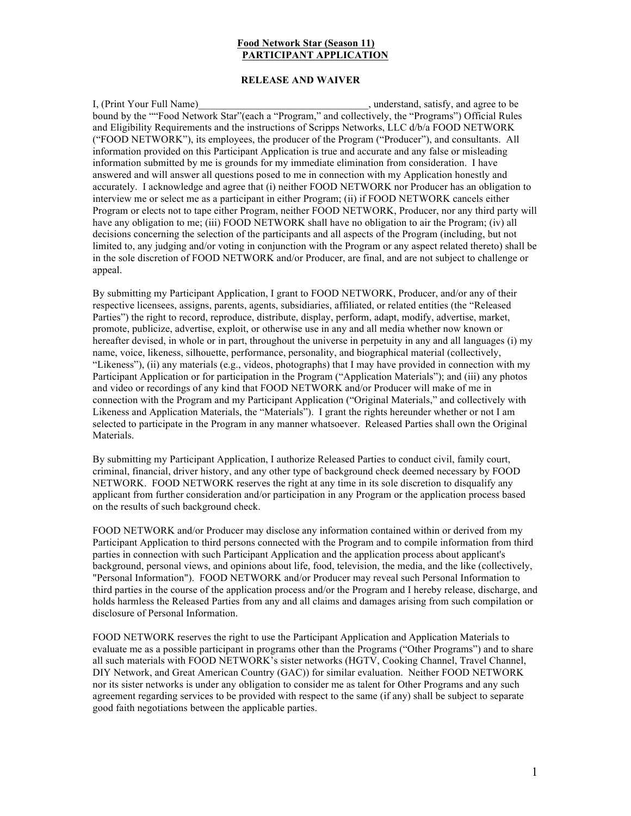## **Food Network Star (Season 11) PARTICIPANT APPLICATION**

## **RELEASE AND WAIVER**

I, (Print Your Full Name) and the satisfy, and agree to be set of the satisfy, and agree to be bound by the ""Food Network Star"(each a "Program," and collectively, the "Programs") Official Rules and Eligibility Requirements and the instructions of Scripps Networks, LLC d/b/a FOOD NETWORK ("FOOD NETWORK"), its employees, the producer of the Program ("Producer"), and consultants. All information provided on this Participant Application is true and accurate and any false or misleading information submitted by me is grounds for my immediate elimination from consideration. I have answered and will answer all questions posed to me in connection with my Application honestly and accurately. I acknowledge and agree that (i) neither FOOD NETWORK nor Producer has an obligation to interview me or select me as a participant in either Program; (ii) if FOOD NETWORK cancels either Program or elects not to tape either Program, neither FOOD NETWORK, Producer, nor any third party will have any obligation to me; (iii) FOOD NETWORK shall have no obligation to air the Program; (iv) all decisions concerning the selection of the participants and all aspects of the Program (including, but not limited to, any judging and/or voting in conjunction with the Program or any aspect related thereto) shall be in the sole discretion of FOOD NETWORK and/or Producer, are final, and are not subject to challenge or appeal.

By submitting my Participant Application, I grant to FOOD NETWORK, Producer, and/or any of their respective licensees, assigns, parents, agents, subsidiaries, affiliated, or related entities (the "Released Parties") the right to record, reproduce, distribute, display, perform, adapt, modify, advertise, market, promote, publicize, advertise, exploit, or otherwise use in any and all media whether now known or hereafter devised, in whole or in part, throughout the universe in perpetuity in any and all languages (i) my name, voice, likeness, silhouette, performance, personality, and biographical material (collectively, "Likeness"), (ii) any materials (e.g., videos, photographs) that I may have provided in connection with my Participant Application or for participation in the Program ("Application Materials"); and (iii) any photos and video or recordings of any kind that FOOD NETWORK and/or Producer will make of me in connection with the Program and my Participant Application ("Original Materials," and collectively with Likeness and Application Materials, the "Materials"). I grant the rights hereunder whether or not I am selected to participate in the Program in any manner whatsoever. Released Parties shall own the Original Materials.

By submitting my Participant Application, I authorize Released Parties to conduct civil, family court, criminal, financial, driver history, and any other type of background check deemed necessary by FOOD NETWORK. FOOD NETWORK reserves the right at any time in its sole discretion to disqualify any applicant from further consideration and/or participation in any Program or the application process based on the results of such background check.

FOOD NETWORK and/or Producer may disclose any information contained within or derived from my Participant Application to third persons connected with the Program and to compile information from third parties in connection with such Participant Application and the application process about applicant's background, personal views, and opinions about life, food, television, the media, and the like (collectively, "Personal Information"). FOOD NETWORK and/or Producer may reveal such Personal Information to third parties in the course of the application process and/or the Program and I hereby release, discharge, and holds harmless the Released Parties from any and all claims and damages arising from such compilation or disclosure of Personal Information.

FOOD NETWORK reserves the right to use the Participant Application and Application Materials to evaluate me as a possible participant in programs other than the Programs ("Other Programs") and to share all such materials with FOOD NETWORK's sister networks (HGTV, Cooking Channel, Travel Channel, DIY Network, and Great American Country (GAC)) for similar evaluation. Neither FOOD NETWORK nor its sister networks is under any obligation to consider me as talent for Other Programs and any such agreement regarding services to be provided with respect to the same (if any) shall be subject to separate good faith negotiations between the applicable parties.